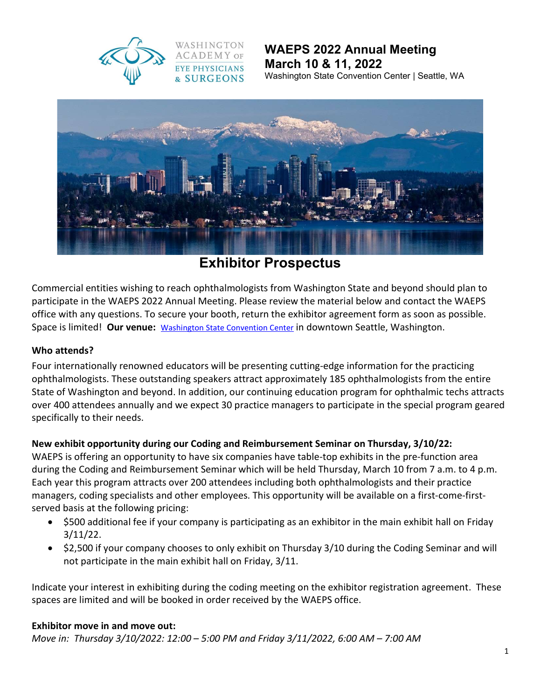

## WAEPS 2022 Annual Meeting March 10 & 11, 2022 Washington State Convention Center | Seattle, WA



# Exhibitor Prospectus

Commercial entities wishing to reach ophthalmologists from Washington State and beyond should plan to participate in the WAEPS 2022 Annual Meeting. Please review the material below and contact the WAEPS office with any questions. To secure your booth, return the exhibitor agreement form as soon as possible. Space is limited! Our venue: Washington State Convention Center in downtown Seattle, Washington.

#### Who attends?

Four internationally renowned educators will be presenting cutting-edge information for the practicing ophthalmologists. These outstanding speakers attract approximately 185 ophthalmologists from the entire State of Washington and beyond. In addition, our continuing education program for ophthalmic techs attracts over 400 attendees annually and we expect 30 practice managers to participate in the special program geared specifically to their needs.

## New exhibit opportunity during our Coding and Reimbursement Seminar on Thursday, 3/10/22:

WAEPS is offering an opportunity to have six companies have table-top exhibits in the pre-function area during the Coding and Reimbursement Seminar which will be held Thursday, March 10 from 7 a.m. to 4 p.m. Each year this program attracts over 200 attendees including both ophthalmologists and their practice managers, coding specialists and other employees. This opportunity will be available on a first-come-firstserved basis at the following pricing:

- \$500 additional fee if your company is participating as an exhibitor in the main exhibit hall on Friday 3/11/22.
- \$2,500 if your company chooses to only exhibit on Thursday 3/10 during the Coding Seminar and will not participate in the main exhibit hall on Friday, 3/11.

Indicate your interest in exhibiting during the coding meeting on the exhibitor registration agreement. These spaces are limited and will be booked in order received by the WAEPS office.

#### Exhibitor move in and move out:

Move in: Thursday 3/10/2022: 12:00 – 5:00 PM and Friday 3/11/2022, 6:00 AM – 7:00 AM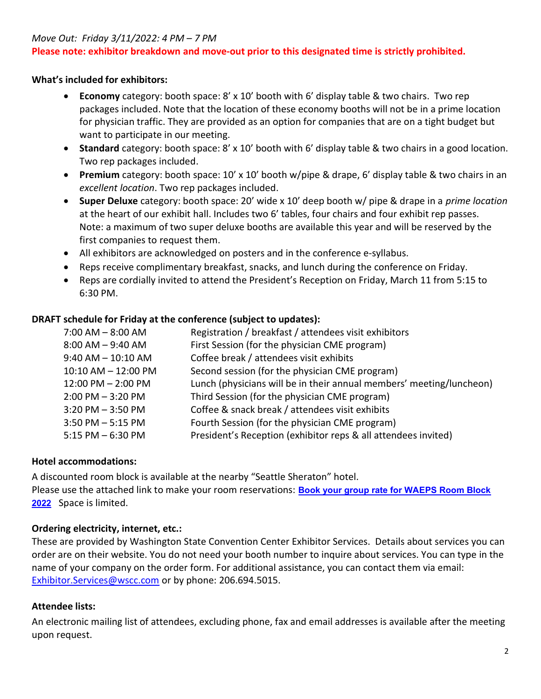#### Move Out: Friday 3/11/2022: 4 PM – 7 PM

#### Please note: exhibitor breakdown and move-out prior to this designated time is strictly prohibited.

#### What's included for exhibitors:

- Economy category: booth space: 8' x 10' booth with 6' display table & two chairs. Two rep packages included. Note that the location of these economy booths will not be in a prime location for physician traffic. They are provided as an option for companies that are on a tight budget but want to participate in our meeting.
- Standard category: booth space: 8' x 10' booth with 6' display table & two chairs in a good location. Two rep packages included.
- Premium category: booth space: 10' x 10' booth w/pipe & drape, 6' display table & two chairs in an excellent location. Two rep packages included.
- Super Deluxe category: booth space: 20' wide x 10' deep booth w/ pipe & drape in a *prime location* at the heart of our exhibit hall. Includes two 6' tables, four chairs and four exhibit rep passes. Note: a maximum of two super deluxe booths are available this year and will be reserved by the first companies to request them.
- All exhibitors are acknowledged on posters and in the conference e-syllabus.
- Reps receive complimentary breakfast, snacks, and lunch during the conference on Friday.
- Reps are cordially invited to attend the President's Reception on Friday, March 11 from 5:15 to 6:30 PM.

#### DRAFT schedule for Friday at the conference (subject to updates):

| Registration / breakfast / attendees visit exhibitors                |
|----------------------------------------------------------------------|
| First Session (for the physician CME program)                        |
| Coffee break / attendees visit exhibits                              |
| Second session (for the physician CME program)                       |
| Lunch (physicians will be in their annual members' meeting/luncheon) |
| Third Session (for the physician CME program)                        |
| Coffee & snack break / attendees visit exhibits                      |
| Fourth Session (for the physician CME program)                       |
| President's Reception (exhibitor reps & all attendees invited)       |
|                                                                      |

## Hotel accommodations:

A discounted room block is available at the nearby "Seattle Sheraton" hotel. Please use the attached link to make your room reservations: **Book your group rate for WAEPS Room Block** 2022 Space is limited.

## Ordering electricity, internet, etc.:

These are provided by Washington State Convention Center Exhibitor Services. Details about services you can order are on their website. You do not need your booth number to inquire about services. You can type in the name of your company on the order form. For additional assistance, you can contact them via email: Exhibitor.Services@wscc.com or by phone: 206.694.5015.

## Attendee lists:

An electronic mailing list of attendees, excluding phone, fax and email addresses is available after the meeting upon request.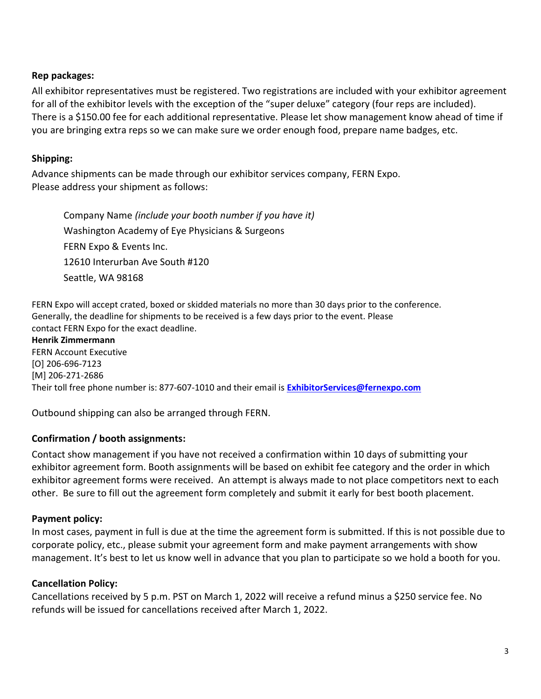## Rep packages:

All exhibitor representatives must be registered. Two registrations are included with your exhibitor agreement for all of the exhibitor levels with the exception of the "super deluxe" category (four reps are included). There is a \$150.00 fee for each additional representative. Please let show management know ahead of time if you are bringing extra reps so we can make sure we order enough food, prepare name badges, etc.

## Shipping:

Advance shipments can be made through our exhibitor services company, FERN Expo. Please address your shipment as follows:

Company Name (include your booth number if you have it) Washington Academy of Eye Physicians & Surgeons FERN Expo & Events Inc. 12610 Interurban Ave South #120 Seattle, WA 98168

FERN Expo will accept crated, boxed or skidded materials no more than 30 days prior to the conference. Generally, the deadline for shipments to be received is a few days prior to the event. Please contact FERN Expo for the exact deadline.

#### Henrik Zimmermann

FERN Account Executive [O] 206-696-7123 [M] 206-271-2686 Their toll free phone number is: 877-607-1010 and their email is ExhibitorServices@fernexpo.com

Outbound shipping can also be arranged through FERN.

## Confirmation / booth assignments:

Contact show management if you have not received a confirmation within 10 days of submitting your exhibitor agreement form. Booth assignments will be based on exhibit fee category and the order in which exhibitor agreement forms were received. An attempt is always made to not place competitors next to each other. Be sure to fill out the agreement form completely and submit it early for best booth placement.

## Payment policy:

In most cases, payment in full is due at the time the agreement form is submitted. If this is not possible due to corporate policy, etc., please submit your agreement form and make payment arrangements with show management. It's best to let us know well in advance that you plan to participate so we hold a booth for you.

#### Cancellation Policy:

Cancellations received by 5 p.m. PST on March 1, 2022 will receive a refund minus a \$250 service fee. No refunds will be issued for cancellations received after March 1, 2022.